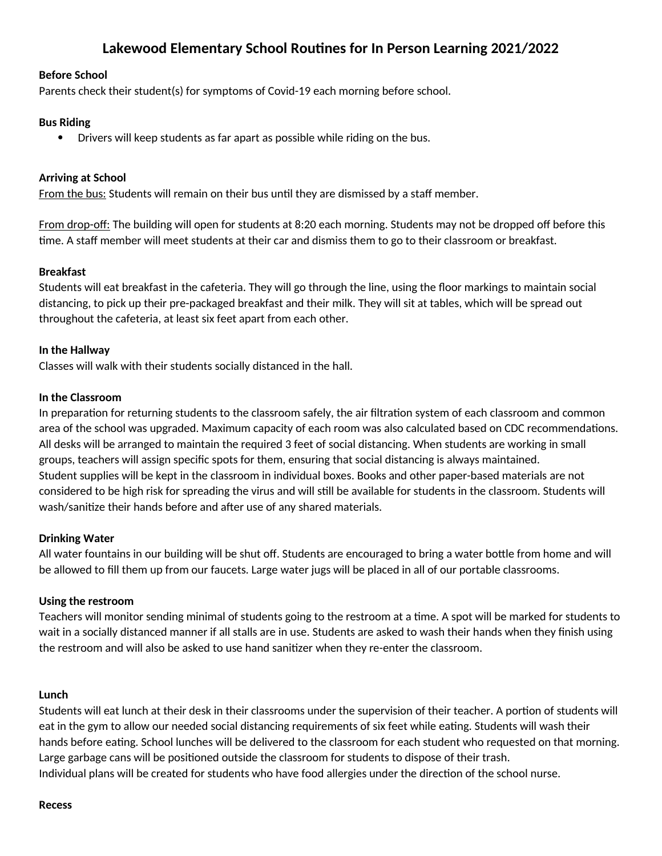# **Lakewood Elementary School Routines for In Person Learning 2021/2022**

## **Before School**

Parents check their student(s) for symptoms of Covid-19 each morning before school.

# **Bus Riding**

· Drivers will keep students as far apart as possible while riding on the bus.

## **Arriving at School**

From the bus: Students will remain on their bus until they are dismissed by a staff member.

From drop-off: The building will open for students at 8:20 each morning. Students may not be dropped off before this time. A staff member will meet students at their car and dismiss them to go to their classroom or breakfast.

## **Breakfast**

Students will eat breakfast in the cafeteria. They will go through the line, using the floor markings to maintain social distancing, to pick up their pre-packaged breakfast and their milk. They will sit at tables, which will be spread out throughout the cafeteria, at least six feet apart from each other.

## **In the Hallway**

Classes will walk with their students socially distanced in the hall.

#### **In the Classroom**

In preparation for returning students to the classroom safely, the air filtration system of each classroom and common area of the school was upgraded. Maximum capacity of each room was also calculated based on CDC recommendations. All desks will be arranged to maintain the required 3 feet of social distancing. When students are working in small groups, teachers will assign specific spots for them, ensuring that social distancing is always maintained. Student supplies will be kept in the classroom in individual boxes. Books and other paper-based materials are not considered to be high risk for spreading the virus and will still be available for students in the classroom. Students will wash/sanitize their hands before and after use of any shared materials.

#### **Drinking Water**

All water fountains in our building will be shut off. Students are encouraged to bring a water bottle from home and will be allowed to fill them up from our faucets. Large water jugs will be placed in all of our portable classrooms.

#### **Using the restroom**

Teachers will monitor sending minimal of students going to the restroom at a time. A spot will be marked for students to wait in a socially distanced manner if all stalls are in use. Students are asked to wash their hands when they finish using the restroom and will also be asked to use hand sanitizer when they re-enter the classroom.

#### **Lunch**

Students will eat lunch at their desk in their classrooms under the supervision of their teacher. A portion of students will eat in the gym to allow our needed social distancing requirements of six feet while eating. Students will wash their hands before eating. School lunches will be delivered to the classroom for each student who requested on that morning. Large garbage cans will be positioned outside the classroom for students to dispose of their trash. Individual plans will be created for students who have food allergies under the direction of the school nurse.

#### **Recess**